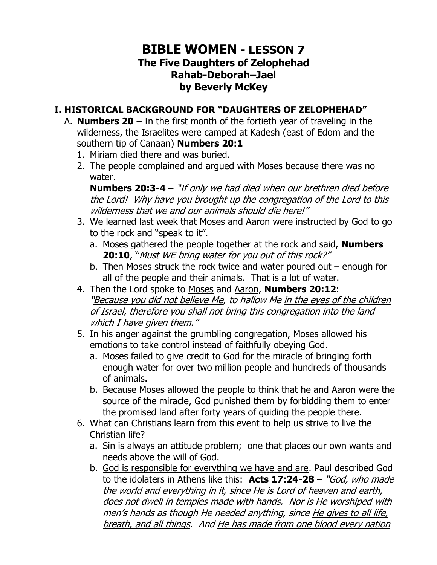## **BIBLE WOMEN - LESSON 7 The Five Daughters of Zelophehad Rahab-Deborah–Jael by Beverly McKey**

#### **I. HISTORICAL BACKGROUND FOR "DAUGHTERS OF ZELOPHEHAD"**

- A. **Numbers 20** In the first month of the fortieth year of traveling in the wilderness, the Israelites were camped at Kadesh (east of Edom and the southern tip of Canaan) **Numbers 20:1** 
	- 1. Miriam died there and was buried.
	- 2. The people complained and argued with Moses because there was no water.

**Numbers 20:3-4** – "If only we had died when our brethren died before the Lord! Why have you brought up the congregation of the Lord to this wilderness that we and our animals should die here!"

- 3. We learned last week that Moses and Aaron were instructed by God to go to the rock and "speak to it".
	- a. Moses gathered the people together at the rock and said, **Numbers 20:10**, "Must WE bring water for you out of this rock?"
	- b. Then Moses struck the rock twice and water poured out  $-$  enough for all of the people and their animals. That is a lot of water.
- 4. Then the Lord spoke to Moses and Aaron, **Numbers 20:12**: "Because you did not believe Me, to hallow Me in the eyes of the children of Israel, therefore you shall not bring this congregation into the land which I have given them."
- 5. In his anger against the grumbling congregation, Moses allowed his emotions to take control instead of faithfully obeying God.
	- a. Moses failed to give credit to God for the miracle of bringing forth enough water for over two million people and hundreds of thousands of animals.
	- b. Because Moses allowed the people to think that he and Aaron were the source of the miracle, God punished them by forbidding them to enter the promised land after forty years of guiding the people there.
- 6. What can Christians learn from this event to help us strive to live the Christian life?
	- a. Sin is always an attitude problem; one that places our own wants and needs above the will of God.
	- b. God is responsible for everything we have and are. Paul described God to the idolaters in Athens like this: **Acts 17:24-28** – "God, who made the world and everything in it, since He is Lord of heaven and earth, does not dwell in temples made with hands. Nor is He worshiped with men's hands as though He needed anything, since He gives to all life, breath, and all things. And He has made from one blood every nation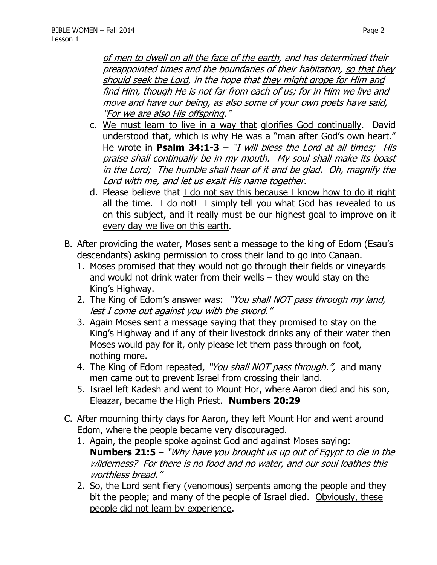of men to dwell on all the face of the earth, and has determined their preappointed times and the boundaries of their habitation, so that they should seek the Lord, in the hope that they might grope for Him and find Him, though He is not far from each of us; for in Him we live and move and have our being, as also some of your own poets have said, "For we are also His offspring."

- c. We must learn to live in a way that glorifies God continually. David understood that, which is why He was a "man after God's own heart." He wrote in **Psalm 34:1-3** – "*I will bless the Lord at all times; His* praise shall continually be in my mouth. My soul shall make its boast in the Lord; The humble shall hear of it and be glad. Oh, magnify the Lord with me, and let us exalt His name together.
- d. Please believe that I do not say this because I know how to do it right all the time. I do not! I simply tell you what God has revealed to us on this subject, and it really must be our highest goal to improve on it every day we live on this earth.
- B. After providing the water, Moses sent a message to the king of Edom (Esau's descendants) asking permission to cross their land to go into Canaan.
	- 1. Moses promised that they would not go through their fields or vineyards and would not drink water from their wells – they would stay on the King's Highway.
	- 2. The King of Edom's answer was: "You shall NOT pass through my land, lest I come out against you with the sword."
	- 3. Again Moses sent a message saying that they promised to stay on the King's Highway and if any of their livestock drinks any of their water then Moses would pay for it, only please let them pass through on foot, nothing more.
	- 4. The King of Edom repeated, "You shall NOT pass through.", and many men came out to prevent Israel from crossing their land.
	- 5. Israel left Kadesh and went to Mount Hor, where Aaron died and his son, Eleazar, became the High Priest. **Numbers 20:29**
- C. After mourning thirty days for Aaron, they left Mount Hor and went around Edom, where the people became very discouraged.
	- 1. Again, the people spoke against God and against Moses saying: **Numbers 21:5** – "Why have you brought us up out of Egypt to die in the wilderness? For there is no food and no water, and our soul loathes this worthless bread."
	- 2. So, the Lord sent fiery (venomous) serpents among the people and they bit the people; and many of the people of Israel died. Obviously, these people did not learn by experience.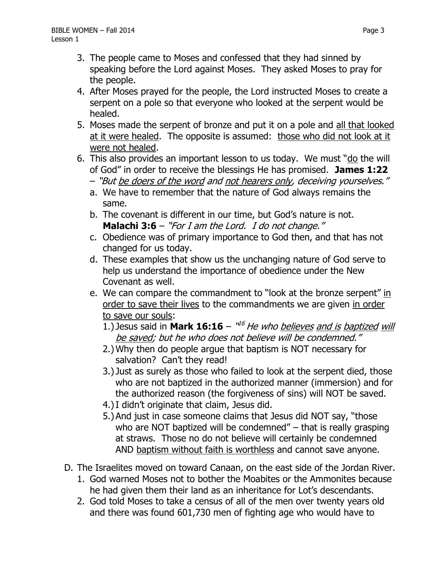- 3. The people came to Moses and confessed that they had sinned by speaking before the Lord against Moses. They asked Moses to pray for the people.
- 4. After Moses prayed for the people, the Lord instructed Moses to create a serpent on a pole so that everyone who looked at the serpent would be healed.
- 5. Moses made the serpent of bronze and put it on a pole and all that looked at it were healed. The opposite is assumed: those who did not look at it were not healed.
- 6. This also provides an important lesson to us today. We must "do the will of God" in order to receive the blessings He has promised. **James 1:22**
	- "But be doers of the word and not hearers only, deceiving yourselves."
	- a. We have to remember that the nature of God always remains the same.
	- b. The covenant is different in our time, but God's nature is not. **Malachi 3:6** – "For I am the Lord. I do not change."
	- c. Obedience was of primary importance to God then, and that has not changed for us today.
	- d. These examples that show us the unchanging nature of God serve to help us understand the importance of obedience under the New Covenant as well.
	- e. We can compare the commandment to "look at the bronze serpent" in order to save their lives to the commandments we are given in order to save our souls:
		- 1.) Jesus said in Mark 16:16 "<sup>16</sup> He who believes and is baptized will be saved; but he who does not believe will be condemned."
		- 2.) Why then do people argue that baptism is NOT necessary for salvation? Can't they read!
		- 3.) Just as surely as those who failed to look at the serpent died, those who are not baptized in the authorized manner (immersion) and for the authorized reason (the forgiveness of sins) will NOT be saved.
		- 4.)I didn't originate that claim, Jesus did.
		- 5.) And just in case someone claims that Jesus did NOT say, "those who are NOT baptized will be condemned" – that is really grasping at straws. Those no do not believe will certainly be condemned AND baptism without faith is worthless and cannot save anyone.
- D. The Israelites moved on toward Canaan, on the east side of the Jordan River.
	- 1. God warned Moses not to bother the Moabites or the Ammonites because he had given them their land as an inheritance for Lot's descendants.
	- 2. God told Moses to take a census of all of the men over twenty years old and there was found 601,730 men of fighting age who would have to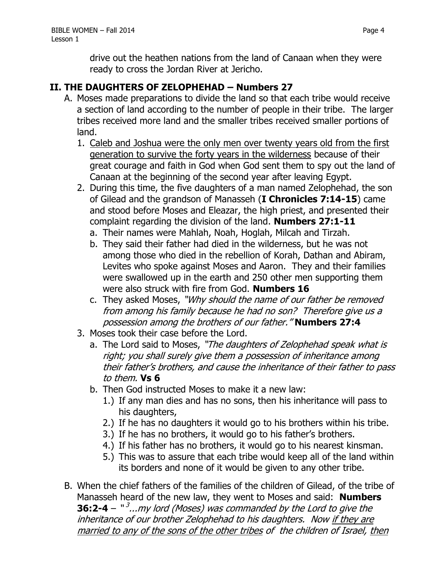drive out the heathen nations from the land of Canaan when they were ready to cross the Jordan River at Jericho.

#### **II. THE DAUGHTERS OF ZELOPHEHAD – Numbers 27**

- A. Moses made preparations to divide the land so that each tribe would receive a section of land according to the number of people in their tribe. The larger tribes received more land and the smaller tribes received smaller portions of land.
	- 1. Caleb and Joshua were the only men over twenty years old from the first generation to survive the forty years in the wilderness because of their great courage and faith in God when God sent them to spy out the land of Canaan at the beginning of the second year after leaving Egypt.
	- 2. During this time, the five daughters of a man named Zelophehad, the son of Gilead and the grandson of Manasseh (**I Chronicles 7:14-15**) came and stood before Moses and Eleazar, the high priest, and presented their complaint regarding the division of the land. **Numbers 27:1-11**
		- a. Their names were Mahlah, Noah, Hoglah, Milcah and Tirzah.
		- b. They said their father had died in the wilderness, but he was not among those who died in the rebellion of Korah, Dathan and Abiram, Levites who spoke against Moses and Aaron. They and their families were swallowed up in the earth and 250 other men supporting them were also struck with fire from God. **Numbers 16**
		- c. They asked Moses, "Why should the name of our father be removed from among his family because he had no son? Therefore give us a possession among the brothers of our father." **Numbers 27:4**
	- 3. Moses took their case before the Lord.
		- a. The Lord said to Moses, "The daughters of Zelophehad speak what is right; you shall surely give them a possession of inheritance among their father's brothers, and cause the inheritance of their father to pass to them. **Vs 6**
		- b. Then God instructed Moses to make it a new law:
			- 1.) If any man dies and has no sons, then his inheritance will pass to his daughters,
			- 2.) If he has no daughters it would go to his brothers within his tribe.
			- 3.) If he has no brothers, it would go to his father's brothers.
			- 4.) If his father has no brothers, it would go to his nearest kinsman.
			- 5.) This was to assure that each tribe would keep all of the land within its borders and none of it would be given to any other tribe.
- B. When the chief fathers of the families of the children of Gilead, of the tribe of Manasseh heard of the new law, they went to Moses and said: **Numbers 36:2-4** – "<sup>3</sup>...my lord (Moses) was commanded by the Lord to give the inheritance of our brother Zelophehad to his daughters. Now if they are married to any of the sons of the other tribes of the children of Israel, then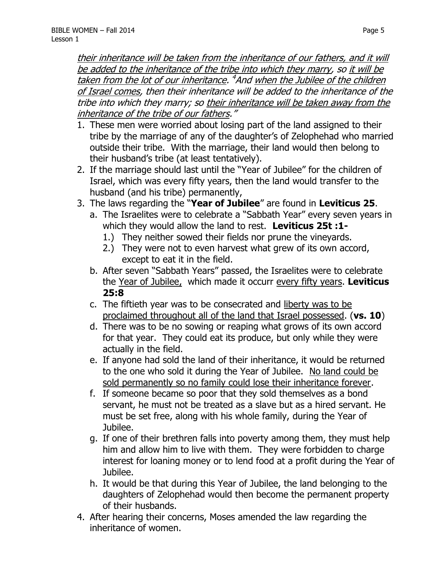their inheritance will be taken from the inheritance of our fathers, and it will be added to the inheritance of the tribe into which they marry, so it will be taken from the lot of our inheritance. <sup>4</sup>And when the Jubilee of the children of Israel comes, then their inheritance will be added to the inheritance of the tribe into which they marry; so their inheritance will be taken away from the inheritance of the tribe of our fathers."

- 1. These men were worried about losing part of the land assigned to their tribe by the marriage of any of the daughter's of Zelophehad who married outside their tribe. With the marriage, their land would then belong to their husband's tribe (at least tentatively).
- 2. If the marriage should last until the "Year of Jubilee" for the children of Israel, which was every fifty years, then the land would transfer to the husband (and his tribe) permanently,
- 3. The laws regarding the "**Year of Jubilee**" are found in **Leviticus 25**.
	- a. The Israelites were to celebrate a "Sabbath Year" every seven years in which they would allow the land to rest. **Leviticus 25t :1-**
		- 1.) They neither sowed their fields nor prune the vineyards.
		- 2.) They were not to even harvest what grew of its own accord, except to eat it in the field.
	- b. After seven "Sabbath Years" passed, the Israelites were to celebrate the Year of Jubilee, which made it occurr every fifty years. **Leviticus 25:8**
	- c. The fiftieth year was to be consecrated and liberty was to be proclaimed throughout all of the land that Israel possessed. (**vs. 10**)
	- d. There was to be no sowing or reaping what grows of its own accord for that year. They could eat its produce, but only while they were actually in the field.
	- e. If anyone had sold the land of their inheritance, it would be returned to the one who sold it during the Year of Jubilee. No land could be sold permanently so no family could lose their inheritance forever.
	- f. If someone became so poor that they sold themselves as a bond servant, he must not be treated as a slave but as a hired servant. He must be set free, along with his whole family, during the Year of Jubilee.
	- g. If one of their brethren falls into poverty among them, they must help him and allow him to live with them. They were forbidden to charge interest for loaning money or to lend food at a profit during the Year of Jubilee.
	- h. It would be that during this Year of Jubilee, the land belonging to the daughters of Zelophehad would then become the permanent property of their husbands.
- 4. After hearing their concerns, Moses amended the law regarding the inheritance of women.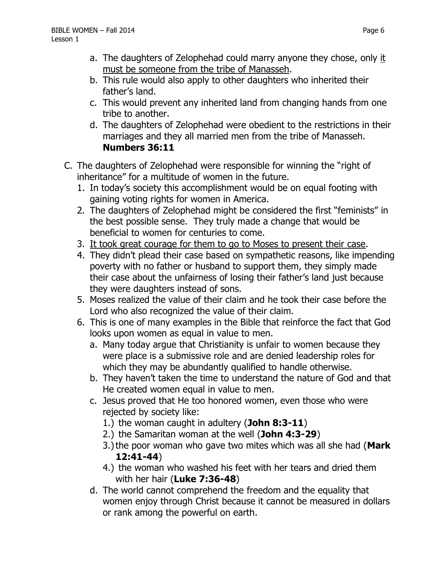- a. The daughters of Zelophehad could marry anyone they chose, only it must be someone from the tribe of Manasseh.
- b. This rule would also apply to other daughters who inherited their father's land.
- c. This would prevent any inherited land from changing hands from one tribe to another.
- d. The daughters of Zelophehad were obedient to the restrictions in their marriages and they all married men from the tribe of Manasseh. **Numbers 36:11**
- C. The daughters of Zelophehad were responsible for winning the "right of inheritance" for a multitude of women in the future.
	- 1. In today's society this accomplishment would be on equal footing with gaining voting rights for women in America.
	- 2. The daughters of Zelophehad might be considered the first "feminists" in the best possible sense. They truly made a change that would be beneficial to women for centuries to come.
	- 3. It took great courage for them to go to Moses to present their case.
	- 4. They didn't plead their case based on sympathetic reasons, like impending poverty with no father or husband to support them, they simply made their case about the unfairness of losing their father's land just because they were daughters instead of sons.
	- 5. Moses realized the value of their claim and he took their case before the Lord who also recognized the value of their claim.
	- 6. This is one of many examples in the Bible that reinforce the fact that God looks upon women as equal in value to men.
		- a. Many today argue that Christianity is unfair to women because they were place is a submissive role and are denied leadership roles for which they may be abundantly qualified to handle otherwise.
		- b. They haven't taken the time to understand the nature of God and that He created women equal in value to men.
		- c. Jesus proved that He too honored women, even those who were rejected by society like:
			- 1.) the woman caught in adultery (**John 8:3-11**)
			- 2.) the Samaritan woman at the well (**John 4:3-29**)
			- 3.)the poor woman who gave two mites which was all she had (**Mark 12:41-44**)
			- 4.) the woman who washed his feet with her tears and dried them with her hair (**Luke 7:36-48**)
		- d. The world cannot comprehend the freedom and the equality that women enjoy through Christ because it cannot be measured in dollars or rank among the powerful on earth.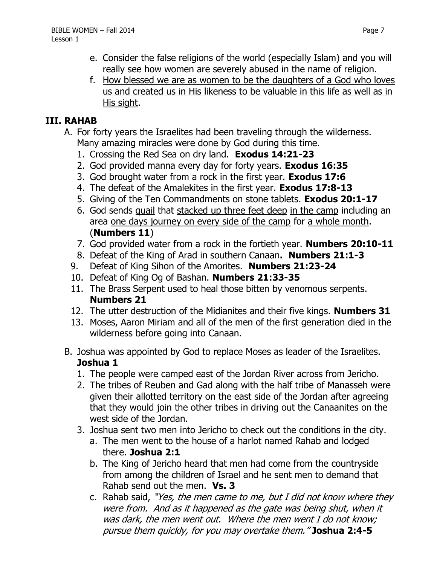- e. Consider the false religions of the world (especially Islam) and you will really see how women are severely abused in the name of religion.
- f. How blessed we are as women to be the daughters of a God who loves us and created us in His likeness to be valuable in this life as well as in His sight.

## **III. RAHAB**

- A. For forty years the Israelites had been traveling through the wilderness. Many amazing miracles were done by God during this time.
	- 1. Crossing the Red Sea on dry land. **Exodus 14:21-23**
	- 2. God provided manna every day for forty years. **Exodus 16:35**
	- 3. God brought water from a rock in the first year. **Exodus 17:6**
	- 4. The defeat of the Amalekites in the first year. **Exodus 17:8-13**
	- 5. Giving of the Ten Commandments on stone tablets. **Exodus 20:1-17**
	- 6. God sends quail that stacked up three feet deep in the camp including an area one days journey on every side of the camp for a whole month. (**Numbers 11**)
	- 7. God provided water from a rock in the fortieth year. **Numbers 20:10-11**
	- 8. Defeat of the King of Arad in southern Canaan**. Numbers 21:1-3**
	- 9. Defeat of King Sihon of the Amorites. **Numbers 21:23-24**
	- 10. Defeat of King Og of Bashan. **Numbers 21:33-35**
	- 11. The Brass Serpent used to heal those bitten by venomous serpents. **Numbers 21**
	- 12. The utter destruction of the Midianites and their five kings. **Numbers 31**
	- 13. Moses, Aaron Miriam and all of the men of the first generation died in the wilderness before going into Canaan.
- B. Joshua was appointed by God to replace Moses as leader of the Israelites. **Joshua 1**
	- 1. The people were camped east of the Jordan River across from Jericho.
	- 2. The tribes of Reuben and Gad along with the half tribe of Manasseh were given their allotted territory on the east side of the Jordan after agreeing that they would join the other tribes in driving out the Canaanites on the west side of the Jordan.
	- 3. Joshua sent two men into Jericho to check out the conditions in the city.
		- a. The men went to the house of a harlot named Rahab and lodged there. **Joshua 2:1**
		- b. The King of Jericho heard that men had come from the countryside from among the children of Israel and he sent men to demand that Rahab send out the men. **Vs. 3**
		- c. Rahab said, "Yes, the men came to me, but I did not know where they were from. And as it happened as the gate was being shut, when it was dark, the men went out. Where the men went I do not know; pursue them quickly, for you may overtake them." **Joshua 2:4-5**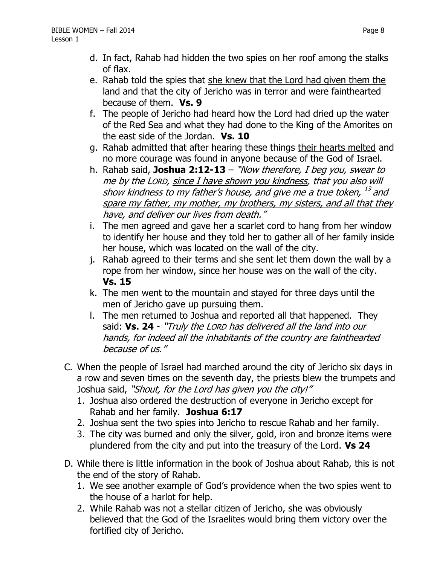- d. In fact, Rahab had hidden the two spies on her roof among the stalks of flax.
- e. Rahab told the spies that she knew that the Lord had given them the land and that the city of Jericho was in terror and were fainthearted because of them. **Vs. 9**
- f. The people of Jericho had heard how the Lord had dried up the water of the Red Sea and what they had done to the King of the Amorites on the east side of the Jordan. **Vs. 10**
- g. Rahab admitted that after hearing these things their hearts melted and no more courage was found in anyone because of the God of Israel.
- h. Rahab said, **Joshua 2:12-13** "Now therefore, I beg you, swear to me by the LORD, since I have shown you kindness, that you also will show kindness to my father's house, and give me a true token,  $^{\mathit{13}}$  and spare my father, my mother, my brothers, my sisters, and all that they have, and deliver our lives from death."
- i. The men agreed and gave her a scarlet cord to hang from her window to identify her house and they told her to gather all of her family inside her house, which was located on the wall of the city.
- j. Rahab agreed to their terms and she sent let them down the wall by a rope from her window, since her house was on the wall of the city. **Vs. 15**
- k. The men went to the mountain and stayed for three days until the men of Jericho gave up pursuing them.
- l. The men returned to Joshua and reported all that happened. They said: **Vs. 24** - "Truly the LORD has delivered all the land into our hands, for indeed all the inhabitants of the country are fainthearted because of us."
- C. When the people of Israel had marched around the city of Jericho six days in a row and seven times on the seventh day, the priests blew the trumpets and Joshua said, "Shout, for the Lord has given you the city!"
	- 1. Joshua also ordered the destruction of everyone in Jericho except for Rahab and her family. **Joshua 6:17**
	- 2. Joshua sent the two spies into Jericho to rescue Rahab and her family.
	- 3. The city was burned and only the silver, gold, iron and bronze items were plundered from the city and put into the treasury of the Lord. **Vs 24**
- D. While there is little information in the book of Joshua about Rahab, this is not the end of the story of Rahab.
	- 1. We see another example of God's providence when the two spies went to the house of a harlot for help.
	- 2. While Rahab was not a stellar citizen of Jericho, she was obviously believed that the God of the Israelites would bring them victory over the fortified city of Jericho.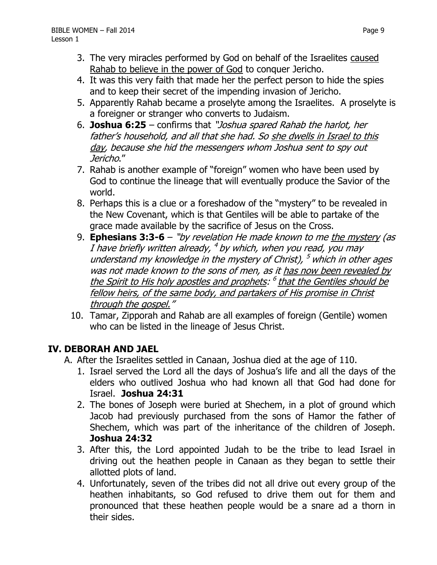- 4. It was this very faith that made her the perfect person to hide the spies and to keep their secret of the impending invasion of Jericho.
- 5. Apparently Rahab became a proselyte among the Israelites. A proselyte is a foreigner or stranger who converts to Judaism.
- 6. **Joshua 6:25** confirms that "Joshua spared Rahab the harlot, her father's household, and all that she had. So she dwells in Israel to this day, because she hid the messengers whom Joshua sent to spy out Jericho."
- 7. Rahab is another example of "foreign" women who have been used by God to continue the lineage that will eventually produce the Savior of the world.
- 8. Perhaps this is a clue or a foreshadow of the "mystery" to be revealed in the New Covenant, which is that Gentiles will be able to partake of the grace made available by the sacrifice of Jesus on the Cross.
- 9. **Ephesians 3:3-6** "by revelation He made known to me the mystery (as I have briefly written already, <sup>4</sup> by which, when you read, you may understand my knowledge in the mystery of Christ), <sup>5</sup> which in other ages was not made known to the sons of men, as it has now been revealed by the Spirit to His holy apostles and prophets: <sup>6</sup> that the Gentiles should be fellow heirs, of the same body, and partakers of His promise in Christ through the gospel."
- 10. Tamar, Zipporah and Rahab are all examples of foreign (Gentile) women who can be listed in the lineage of Jesus Christ.

# **IV. DEBORAH AND JAEL**

- A. After the Israelites settled in Canaan, Joshua died at the age of 110.
	- 1. Israel served the Lord all the days of Joshua's life and all the days of the elders who outlived Joshua who had known all that God had done for Israel. **Joshua 24:31**
	- 2. The bones of Joseph were buried at Shechem, in a plot of ground which Jacob had previously purchased from the sons of Hamor the father of Shechem, which was part of the inheritance of the children of Joseph. **Joshua 24:32**
	- 3. After this, the Lord appointed Judah to be the tribe to lead Israel in driving out the heathen people in Canaan as they began to settle their allotted plots of land.
	- 4. Unfortunately, seven of the tribes did not all drive out every group of the heathen inhabitants, so God refused to drive them out for them and pronounced that these heathen people would be a snare ad a thorn in their sides.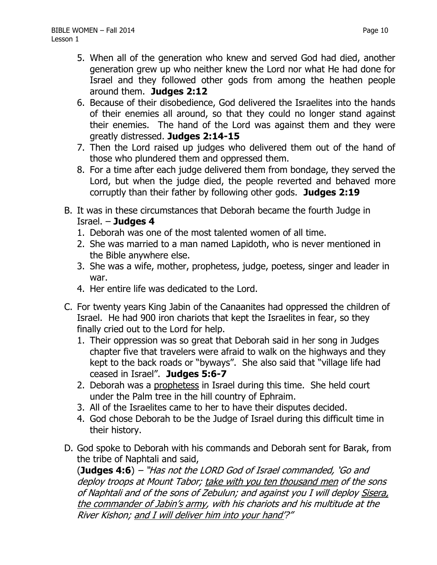- 6. Because of their disobedience, God delivered the Israelites into the hands of their enemies all around, so that they could no longer stand against their enemies. The hand of the Lord was against them and they were greatly distressed. **Judges 2:14-15**
- 7. Then the Lord raised up judges who delivered them out of the hand of those who plundered them and oppressed them.
- 8. For a time after each judge delivered them from bondage, they served the Lord, but when the judge died, the people reverted and behaved more corruptly than their father by following other gods. **Judges 2:19**
- B. It was in these circumstances that Deborah became the fourth Judge in Israel. – **Judges 4**
	- 1. Deborah was one of the most talented women of all time.
	- 2. She was married to a man named Lapidoth, who is never mentioned in the Bible anywhere else.
	- 3. She was a wife, mother, prophetess, judge, poetess, singer and leader in war.
	- 4. Her entire life was dedicated to the Lord.
- C. For twenty years King Jabin of the Canaanites had oppressed the children of Israel. He had 900 iron chariots that kept the Israelites in fear, so they finally cried out to the Lord for help.
	- 1. Their oppression was so great that Deborah said in her song in Judges chapter five that travelers were afraid to walk on the highways and they kept to the back roads or "byways". She also said that "village life had ceased in Israel". **Judges 5:6-7**
	- 2. Deborah was a prophetess in Israel during this time. She held court under the Palm tree in the hill country of Ephraim.
	- 3. All of the Israelites came to her to have their disputes decided.
	- 4. God chose Deborah to be the Judge of Israel during this difficult time in their history.
- D. God spoke to Deborah with his commands and Deborah sent for Barak, from the tribe of Naphtali and said,

(**Judges 4:6**) – "Has not the LORD God of Israel commanded, 'Go and deploy troops at Mount Tabor; take with you ten thousand men of the sons of Naphtali and of the sons of Zebulun; and against you I will deploy Sisera, the commander of Jabin's army, with his chariots and his multitude at the River Kishon; and I will deliver him into your hand'?"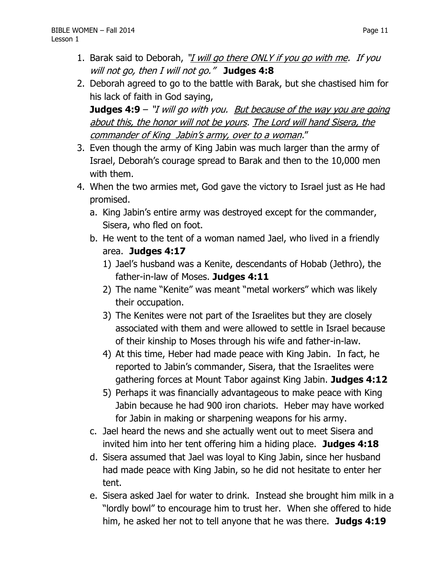- 1. Barak said to Deborah, "*I will go there ONLY if you go with me. If you* will not go, then I will not go." **Judges 4:8**
- 2. Deborah agreed to go to the battle with Barak, but she chastised him for his lack of faith in God saying,

**Judges 4:9** – "I will go with you. But because of the way you are going about this, the honor will not be yours. The Lord will hand Sisera, the commander of King Jabin's army, over to a woman."

- 3. Even though the army of King Jabin was much larger than the army of Israel, Deborah's courage spread to Barak and then to the 10,000 men with them.
- 4. When the two armies met, God gave the victory to Israel just as He had promised.
	- a. King Jabin's entire army was destroyed except for the commander, Sisera, who fled on foot.
	- b. He went to the tent of a woman named Jael, who lived in a friendly area. **Judges 4:17**
		- 1) Jael's husband was a Kenite, descendants of Hobab (Jethro), the father-in-law of Moses. **Judges 4:11**
		- 2) The name "Kenite" was meant "metal workers" which was likely their occupation.
		- 3) The Kenites were not part of the Israelites but they are closely associated with them and were allowed to settle in Israel because of their kinship to Moses through his wife and father-in-law.
		- 4) At this time, Heber had made peace with King Jabin. In fact, he reported to Jabin's commander, Sisera, that the Israelites were gathering forces at Mount Tabor against King Jabin. **Judges 4:12**
		- 5) Perhaps it was financially advantageous to make peace with King Jabin because he had 900 iron chariots. Heber may have worked for Jabin in making or sharpening weapons for his army.
	- c. Jael heard the news and she actually went out to meet Sisera and invited him into her tent offering him a hiding place. **Judges 4:18**
	- d. Sisera assumed that Jael was loyal to King Jabin, since her husband had made peace with King Jabin, so he did not hesitate to enter her tent.
	- e. Sisera asked Jael for water to drink. Instead she brought him milk in a "lordly bowl" to encourage him to trust her. When she offered to hide him, he asked her not to tell anyone that he was there. **Judgs 4:19**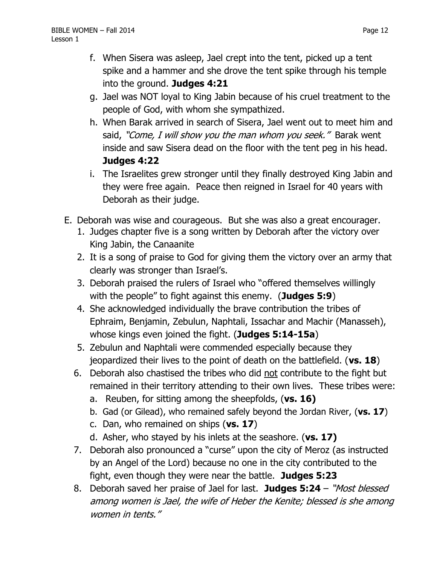- f. When Sisera was asleep, Jael crept into the tent, picked up a tent spike and a hammer and she drove the tent spike through his temple into the ground. **Judges 4:21**
- g. Jael was NOT loyal to King Jabin because of his cruel treatment to the people of God, with whom she sympathized.
- h. When Barak arrived in search of Sisera, Jael went out to meet him and said, "Come, I will show you the man whom you seek." Barak went inside and saw Sisera dead on the floor with the tent peg in his head. **Judges 4:22**
- i. The Israelites grew stronger until they finally destroyed King Jabin and they were free again. Peace then reigned in Israel for 40 years with Deborah as their judge.
- E. Deborah was wise and courageous. But she was also a great encourager.
	- 1. Judges chapter five is a song written by Deborah after the victory over King Jabin, the Canaanite
	- 2. It is a song of praise to God for giving them the victory over an army that clearly was stronger than Israel's.
	- 3. Deborah praised the rulers of Israel who "offered themselves willingly with the people" to fight against this enemy. (**Judges 5:9**)
	- 4. She acknowledged individually the brave contribution the tribes of Ephraim, Benjamin, Zebulun, Naphtali, Issachar and Machir (Manasseh), whose kings even joined the fight. (**Judges 5:14-15a**)
	- 5. Zebulun and Naphtali were commended especially because they jeopardized their lives to the point of death on the battlefield. (**vs. 18**)
	- 6. Deborah also chastised the tribes who did not contribute to the fight but remained in their territory attending to their own lives. These tribes were:
		- a. Reuben, for sitting among the sheepfolds, (**vs. 16)**
		- b. Gad (or Gilead), who remained safely beyond the Jordan River, (**vs. 17**)
		- c. Dan, who remained on ships (**vs. 17**)
		- d. Asher, who stayed by his inlets at the seashore. (**vs. 17)**
	- 7. Deborah also pronounced a "curse" upon the city of Meroz (as instructed by an Angel of the Lord) because no one in the city contributed to the fight, even though they were near the battle. **Judges 5:23**
	- 8. Deborah saved her praise of Jael for last. **Judges 5:24**  "Most blessed among women is Jael, the wife of Heber the Kenite; blessed is she among women in tents."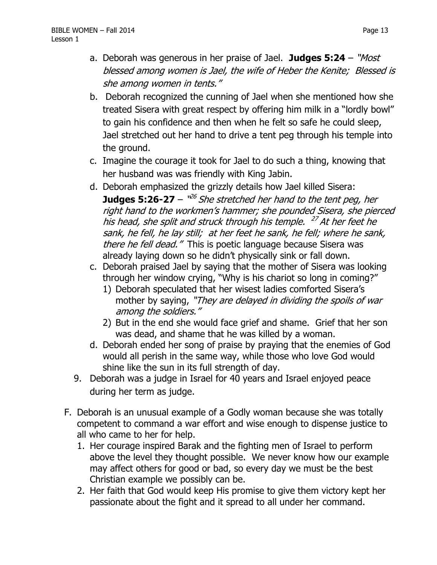- a. Deborah was generous in her praise of Jael. **Judges 5:24** "Most blessed among women is Jael, the wife of Heber the Kenite; Blessed is she among women in tents."
- b. Deborah recognized the cunning of Jael when she mentioned how she treated Sisera with great respect by offering him milk in a "lordly bowl" to gain his confidence and then when he felt so safe he could sleep, Jael stretched out her hand to drive a tent peg through his temple into the ground.
- c. Imagine the courage it took for Jael to do such a thing, knowing that her husband was was friendly with King Jabin.
- d. Deborah emphasized the grizzly details how Jael killed Sisera: **Judges 5:26-27** – "<sup>26</sup> She stretched her hand to the tent peg, her right hand to the workmen's hammer; she pounded Sisera, she pierced his head, she split and struck through his temple. <sup>27</sup> At her feet he sank, he fell, he lay still; at her feet he sank, he fell; where he sank, there he fell dead." This is poetic language because Sisera was already laying down so he didn't physically sink or fall down.
- c. Deborah praised Jael by saying that the mother of Sisera was looking through her window crying, "Why is his chariot so long in coming?"
	- 1) Deborah speculated that her wisest ladies comforted Sisera's mother by saying, "They are delayed in dividing the spoils of war among the soldiers."
	- 2) But in the end she would face grief and shame. Grief that her son was dead, and shame that he was killed by a woman.
- d. Deborah ended her song of praise by praying that the enemies of God would all perish in the same way, while those who love God would shine like the sun in its full strength of day.
- 9. Deborah was a judge in Israel for 40 years and Israel enjoyed peace during her term as judge.
- F. Deborah is an unusual example of a Godly woman because she was totally competent to command a war effort and wise enough to dispense justice to all who came to her for help.
	- 1. Her courage inspired Barak and the fighting men of Israel to perform above the level they thought possible. We never know how our example may affect others for good or bad, so every day we must be the best Christian example we possibly can be.
	- 2. Her faith that God would keep His promise to give them victory kept her passionate about the fight and it spread to all under her command.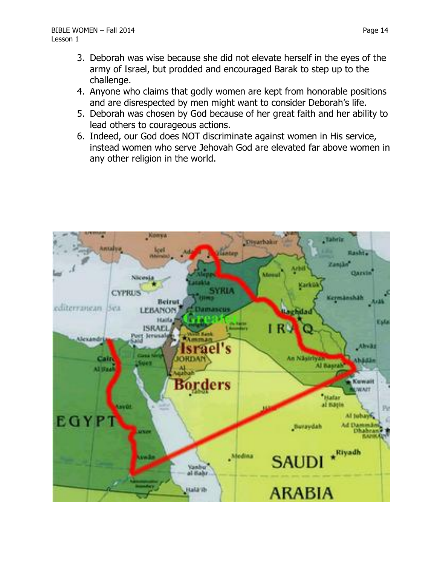- 3. Deborah was wise because she did not elevate herself in the eyes of the army of Israel, but prodded and encouraged Barak to step up to the challenge.
- 4. Anyone who claims that godly women are kept from honorable positions and are disrespected by men might want to consider Deborah's life.
- 5. Deborah was chosen by God because of her great faith and her ability to lead others to courageous actions.
- 6. Indeed, our God does NOT discriminate against women in His service, instead women who serve Jehovah God are elevated far above women in any other religion in the world.